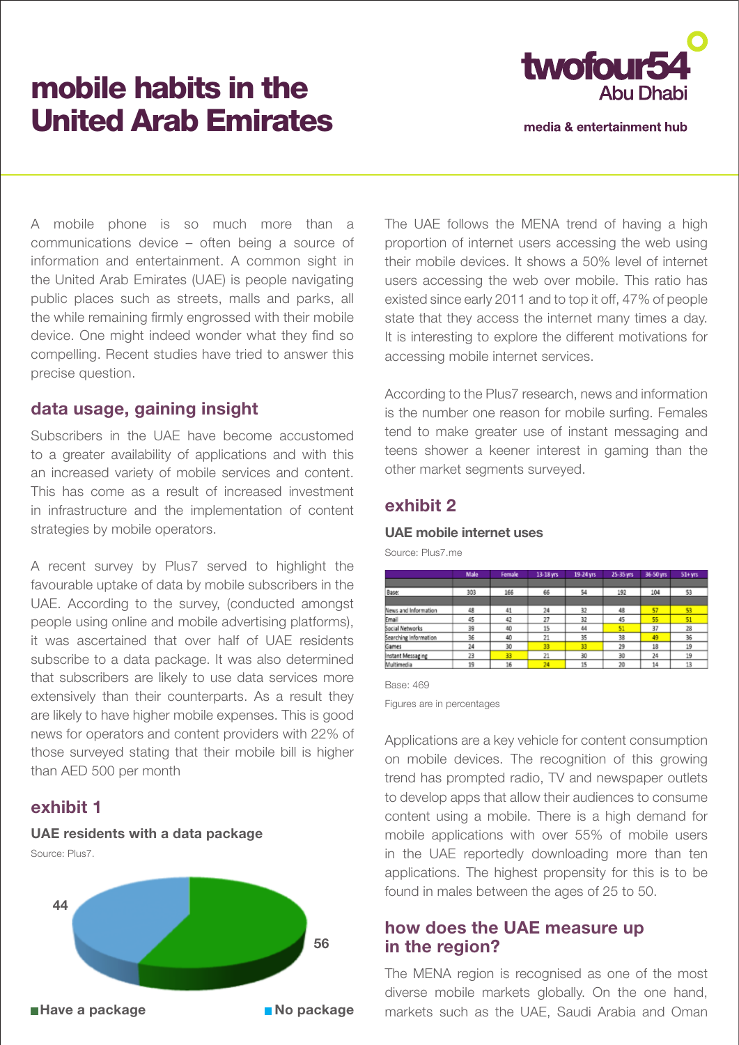# mobile habits in the United Arab Emirates



media & entertainment hub

A mobile phone is so much more than a communications device – often being a source of information and entertainment. A common sight in the United Arab Emirates (UAE) is people navigating public places such as streets, malls and parks, all the while remaining firmly engrossed with their mobile device. One might indeed wonder what they find so compelling. Recent studies have tried to answer this precise question.

### **data usage, gaining insight**

Subscribers in the UAE have become accustomed to a greater availability of applications and with this an increased variety of mobile services and content. This has come as a result of increased investment in infrastructure and the implementation of content strategies by mobile operators.

A recent survey by Plus7 served to highlight the favourable uptake of data by mobile subscribers in the UAE. According to the survey, (conducted amongst people using online and mobile advertising platforms), it was ascertained that over half of UAE residents subscribe to a data package. It was also determined that subscribers are likely to use data services more extensively than their counterparts. As a result they are likely to have higher mobile expenses. This is good news for operators and content providers with 22% of those surveyed stating that their mobile bill is higher than AED 500 per month

# **exhibit 1**

### **UAE residents with a data package**

Source: Plus7.



The UAE follows the MENA trend of having a high proportion of internet users accessing the web using their mobile devices. It shows a 50% level of internet users accessing the web over mobile. This ratio has existed since early 2011 and to top it off, 47% of people state that they access the internet many times a day. It is interesting to explore the different motivations for accessing mobile internet services.

According to the Plus7 research, news and information is the number one reason for mobile surfing. Females tend to make greater use of instant messaging and teens shower a keener interest in gaming than the other market segments surveyed.

# **exhibit 2**

### **UAE mobile internet uses**

Source: Plus7.me

|                       | Male | Female | 13-18 yrs | 19-24 yrs | 25-35 yrs | 36-50 yrs | $51 + yrs$ |
|-----------------------|------|--------|-----------|-----------|-----------|-----------|------------|
|                       |      |        |           |           |           |           |            |
| Base:                 | 303  | 166    | 66        | 54        | 192       | 104       | 53         |
|                       |      |        |           |           |           |           |            |
| News and Information  | 48   | 41     | 24        | 32        | 48        | 57        | 53         |
| Email                 | 45   | 42     | 27        | 32        | 45        | 55        | 51         |
| Social Networks       | 39   | 40     | 15        | 44        | 51        | 37        | 28         |
| Searching Information | 36   | 40     | 21        | 35        | 38        | 49        | 36         |
| Games                 | 24   | 30     | 33        | 33        | 29        | 18        | 19         |
| Instant Messaging     | 23   | 33     | 21        | 30        | 30        | 24        | 19         |
| Multimedia            | 19   | 16     | 24        | 15        | 20        | 14        | 13         |

#### Base: 469

Figures are in percentages

Applications are a key vehicle for content consumption on mobile devices. The recognition of this growing trend has prompted radio, TV and newspaper outlets to develop apps that allow their audiences to consume content using a mobile. There is a high demand for mobile applications with over 55% of mobile users in the UAE reportedly downloading more than ten applications. The highest propensity for this is to be found in males between the ages of 25 to 50.

### **how does the UAE measure up in the region?**

The MENA region is recognised as one of the most diverse mobile markets globally. On the one hand, markets such as the UAE, Saudi Arabia and Oman